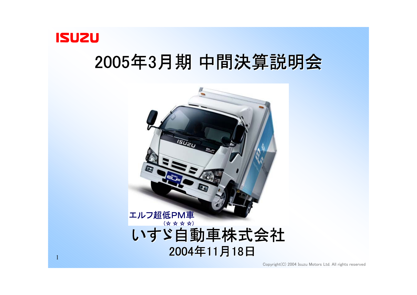

# 2005年3月期 中間決算説明会

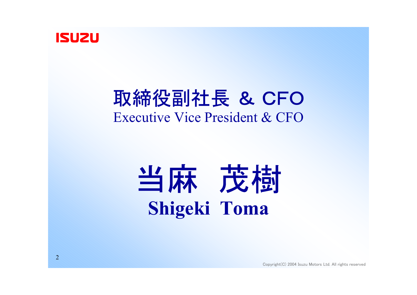

# 取締役副社長 & CFO Executive Vice President & CFO

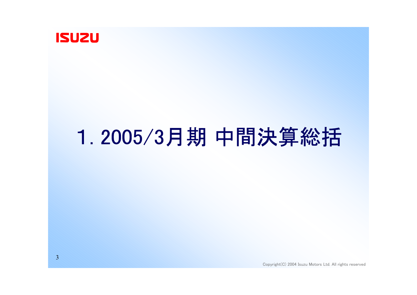

# 1. 2005/3月期 中間決算総括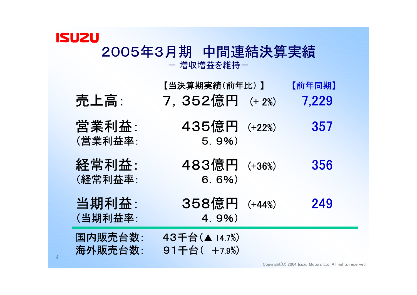#### **ISUZU** 2005年3月期 中間連結決算実績 ー 増収増益を維持ー

売上高: 7,352億円 (+ 2%) 7,229 【当決算期実績(前年比) 】 【前年同期】

- 営業利益: 435億円 (+22%) 357 (営業利益率: 5.9%)
- 経常利益: 483億円 (+36%) 356 (経常利益率: 6.6%)
- (当期利益率: 4.9%)
- 
- 
- 当期利益: 358億円 (+44%) 249

国内販売台数: 43千台(▲ 14.7%) 海外販売台数: 91千台( +7.9%)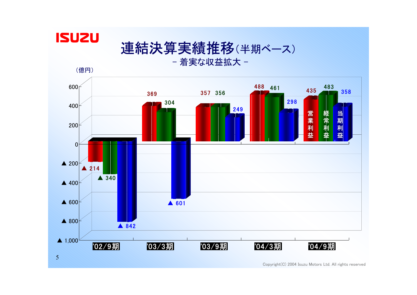

## 連結決算実績推移(半期ベース)

- 着実な収益拡大 -

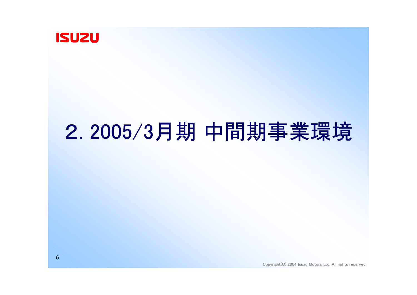

# 2. 2005/3月期 中間期事業環境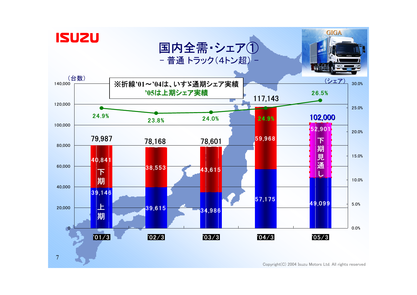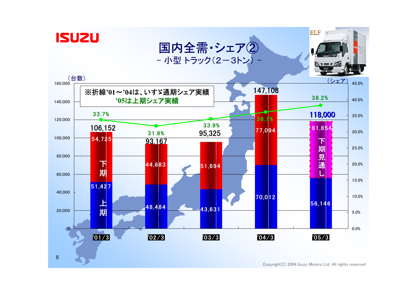

8





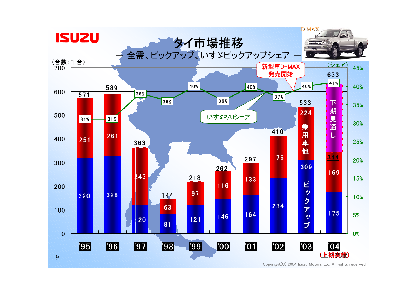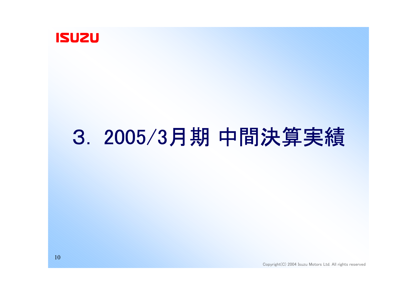

# 3. 2005/3月期 中間決算実績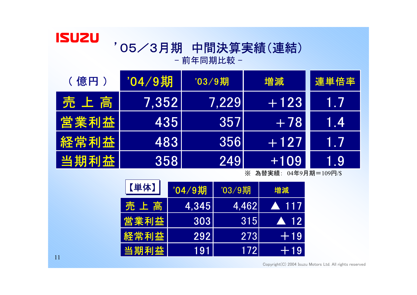#### '05/3月期 中間決算実績(連結) - 前年同期比較 -

| (億円) | '04/9期 | $'03/9$ 期           | 増減     | 連単倍率 |
|------|--------|---------------------|--------|------|
| 売上高  | 7.352  | $\vert 7.229 \vert$ | $+123$ | 1.7  |
| 営業利益 | 435    | 3571                | $+78$  | 1.4  |
| 経常利益 | 4831   | 3561                | $+127$ | AW / |
| 当期利益 | 358    | 2491                | $+109$ | 1.9  |

※ 為替実績: 04年9月期=109円/\$

| 【単体】  | "04/9期 | '03/9期 | 増減                  |
|-------|--------|--------|---------------------|
| 売 上 高 | 4.345  | 4.462  | A 117               |
| 営業利益  | 3031   | 315    | $\blacktriangle$ 12 |
| 経常利益  | 2921   | 273    | $+19$               |
| 当期利益  | 191    | 172l   | $+19$               |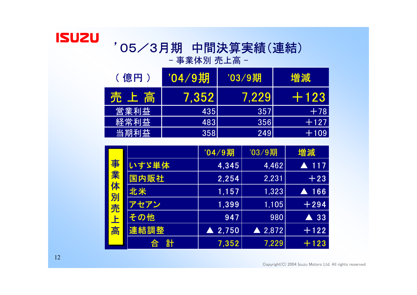#### '05/3月期 中間決算実績(連結) - 事業体別 売上高 -

| (億円) | '04/9期 | '03/9期 | 増減     |
|------|--------|--------|--------|
| 売上高  | 7.352  | 7.2291 | FF 123 |
| 営業利益 | 435    | 357    | $+78$  |
| 経常利益 | 483    | 3561   | E 127  |
| 当期利益 | 358    | 249    | $+109$ |

|    |        | "04/9期            | '03/9期            | 増減             |
|----|--------|-------------------|-------------------|----------------|
| 事  | いすゞ単体  | 4,345             | 4,462             | $-117$         |
| 業  | 国内販社   | 2,254             | 2,231             | $+23$          |
| 体  | 北米     | 1,157             | 1,323             | 166            |
| 別売 | アセアン   | 1,399             | 1,105             | $+294$         |
|    | その他    | 947               | 980               | $\triangle$ 33 |
| 上高 | 連結調整   | $\triangle$ 2,750 | $\triangle$ 2,872 | $+122$         |
|    | 計<br>合 | 7,352             | 7,229             | $+123$         |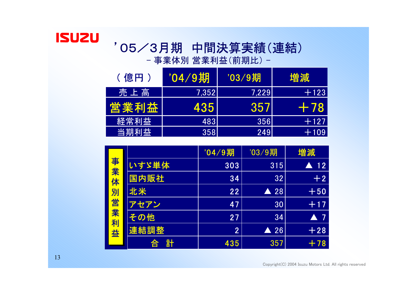# '05/3月期 中間決算実績(連結)

- 事業体別 営業利益(前期比) -

| (億円) | /04/9期      | $'03/9$ 期 | 増減     |
|------|-------------|-----------|--------|
| 売上高  | 7.3521      | 7.229     | $+123$ |
| 営業利益 | 435         | 357       | $+78$  |
| 経常利益 | 4831        | 356       | $+127$ |
| 当期利益 | <b>3581</b> | 249       | $+109$ |

|       |        | '04/9期         | '03/9期         | 増減                 |
|-------|--------|----------------|----------------|--------------------|
|       | いすゞ単体  | 303            | 315            | 12<br>A            |
| 事業体   | 国内販社   | 34             | 32             | $+2$               |
|       | 北米     | 22             | 28<br>A        | $+50$              |
|       | アセアン   | 47             | 30             | $+17$              |
| 別営業利益 | その他    | 27             | 34             | $\blacktriangle$ 7 |
|       | 連結調整   | $\overline{2}$ | $\triangle$ 26 | $+28$              |
|       | 計<br>合 | 435            | 357            | $+78$              |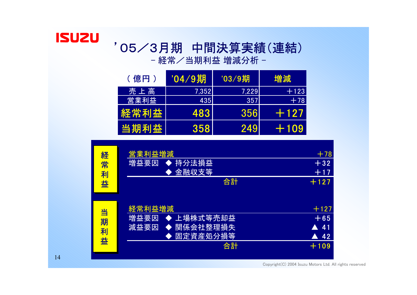## '05/3月期 中間決算実績(連結)

- 経常/当期利益 増減分析 −

| (億円) | '04 ⁄ 9期 | '03/9期 | 増減     |
|------|----------|--------|--------|
| 売上高  | 7,352    | 7.229  | $+123$ |
| 営業利益 | 435      | 357    | $+78$  |
| 経常利益 | 483      | 356    | EF 127 |
| 当期利益 | 358      | 249    | 2510Y  |

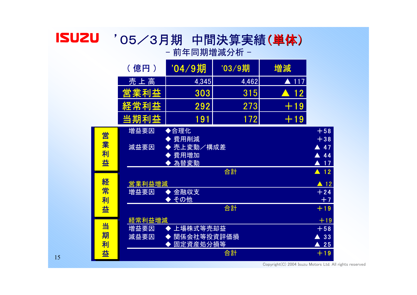#### **ISUZU** '05/3月期 中間決算実績(単体) - 前年同期増減分析 -

|        | (億円)           | '04/9期                   | '03/9期 | 増減                   |                                                  |
|--------|----------------|--------------------------|--------|----------------------|--------------------------------------------------|
|        | 売上高            | 4,345                    | 4,462  | $\blacktriangle$ 117 |                                                  |
|        | 営業利益           | 303                      | 315    | .12<br>$\sqrt{2}$    |                                                  |
|        | 経常利益           | 292                      | 273    | $+19$                |                                                  |
|        | 当期利益           | 191                      | 172    | $+19$                |                                                  |
| 営<br>業 | 増益要因<br>減益要因   | ◆合理化<br>費用削減<br>売上変動/構成差 |        |                      | $+58$<br>$+38$<br>47                             |
| 利<br>益 |                | 費用増加<br>為替変動             | 合計     |                      | 44<br>$\blacktriangle$ 17<br>$\blacktriangle$ 12 |
| 経<br>常 | 営業利益増減<br>増益要因 | 金融収支                     |        |                      | $\blacktriangle$ 12<br>$+24$                     |
| 利<br>益 |                | その他<br>◆                 | 合計     |                      | $+7$<br>$+19$                                    |
|        | 経常利益増減         |                          |        |                      | $+19$                                            |
| 当<br>期 | 増益要因<br>減益要因   | 上場株式等売却益<br>関係会社等投資評価損   |        |                      | $+58$<br>33                                      |
| 利      |                | 固定資産処分損等                 |        |                      | $\blacktriangle$ 25                              |
| 益      |                |                          | 合計     |                      | $+19$                                            |

Copyright(C) 2004 Isuzu Motors Ltd. All rights reserved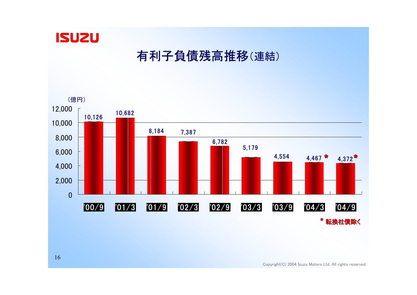

#### 有利子負債残高推移(連結)

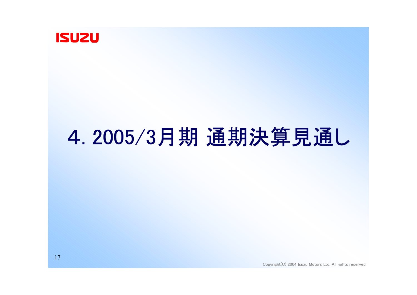

# 4. 2005/3月期 通期決算見通し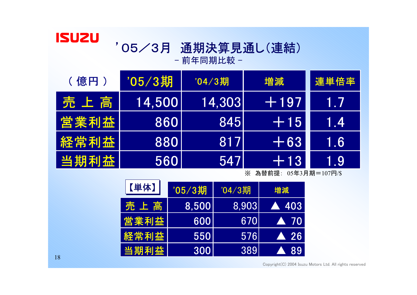#### '05/3月 通期決算見通し(連結) - 前年同期比較 -

| (億円) | /05/3期 | '04/3期 | 増減     | 連単倍率  |
|------|--------|--------|--------|-------|
| 売上高  | 14,500 | 14,303 | $+197$ | 1.7   |
| 営業利益 | 860    | 845    | $+15$  | 1.4   |
| 経常利益 | 880    | 817    | $+63$  | IT.61 |
| 当期利益 | 560    | 5471   | $+13$  | 1.9   |

※ 為替前提: 05年3月期=107円/\$

| 【単体】 | '05/3期 | '04/3期 | 増減                  |
|------|--------|--------|---------------------|
| 売上高  | 8,500  | 8.903  | A 403               |
| 営業利益 | 600    | 6701   | $\blacksquare$ 70   |
| 経常利益 | 550    | 576    | $\blacktriangle$ 26 |
| 当期利益 | 300    | 389    | <b>A</b> 89         |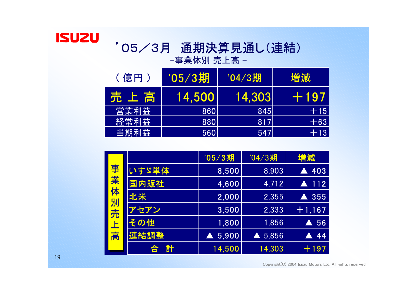#### '05/3月 通期決算見通し(連結) -事業体別 売上高 -

| (億円) | '05/3期 | '04/3期 | 増減     |
|------|--------|--------|--------|
| 売上高  | 14.500 | 14,303 | FF 197 |
| 営業利益 | 860    | 845    | $+15$  |
| 経常利益 | 880    | 817    | $+63$  |
| 当期利益 | 560    | 547    | $+13$  |

|    |        | '05/3期 | '04/3期 | 増減                   |
|----|--------|--------|--------|----------------------|
| 事  | いすゞ単体  | 8,500  | 8,903  | 403                  |
| 業体 | 国内販社   | 4,600  | 4,712  | $\blacktriangle$ 112 |
|    | 北米     | 2,000  | 2,355  | 355                  |
| 別売 | アセアン   | 3,500  | 2,333  | $+1,167$             |
|    | その他    | 1,800  | 1,856  | 56<br>A              |
| 上高 | 連結調整   | 5,900  | 5,856  | 44                   |
|    | 計<br>合 | 14,500 | 14,303 | $+197$               |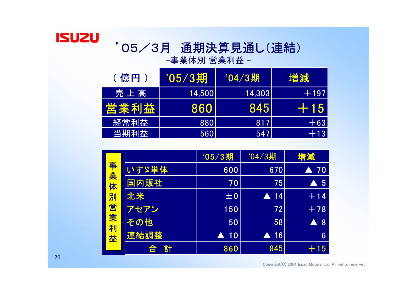#### '05/3月 通期決算見通し(連結) -事業体別 営業利益 -

(億円) 705/3期 704/3期 増減 売 上 高 14,500 14,303 +197 業利益 860 845 +15 経常利益 880 817 817 +63 当期利益 560 547 +13

| 事業体<br>別営業利益 |        | '05/3期  | '04/3期                 | 増減                 |
|--------------|--------|---------|------------------------|--------------------|
|              | いすゞ単体  | 600     | 670                    | 70<br>A            |
|              | 国内販社   | 70      | 75                     | $\blacktriangle$ 5 |
|              | 北米     | ±0      | $\blacktriangle$ 14    | $+14$              |
|              | アセアン   | 150     | 72                     | $+78$              |
|              | その他    | 50      | 58                     | $\blacktriangle$ 8 |
|              | 連結調整   | 10<br>A | 16<br>$\blacktriangle$ | 6                  |
|              | 탉<br>合 | 860     | 845                    | $+15$              |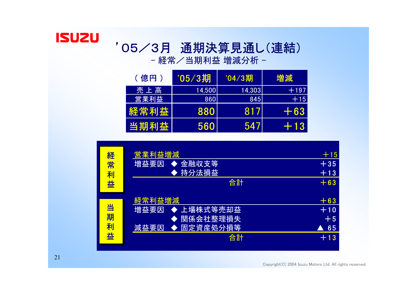# '05/3月 通期決算見通し(連結)

- 経常/当期利益 増減分析 −

| (億円) | '05/3期 | '04/3期 | 増減     |
|------|--------|--------|--------|
| 売上高  | 14,500 | 14,303 | $+197$ |
| 営業利益 | 860    | 845    | $+15$  |
| 経常利益 | 880    | 817    | $+63$  |
| 当期利益 | 560    | 547    | E- 13  |

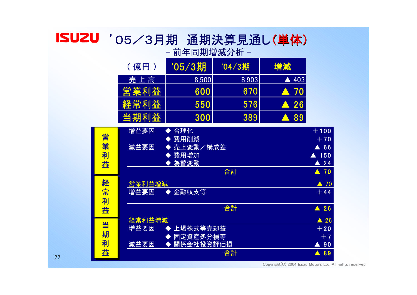#### '05/3月期 通期決算見通し(単体) - 前年同期増減分析 -

|                  | (億円)                             | '05/3期                   | '04/3期 | 増減               |                                                    |
|------------------|----------------------------------|--------------------------|--------|------------------|----------------------------------------------------|
|                  | 売上高                              | 8,500                    | 8,903  | 403<br>A         |                                                    |
|                  | 営業利益                             | 600                      | 670    | 70<br>$\sqrt{2}$ |                                                    |
|                  | 経常利益                             | 550                      | 576    | 26<br>$\sqrt{2}$ |                                                    |
|                  | 当期利益                             | 300                      | 389    | 89<br>$\sqrt{2}$ |                                                    |
| 営<br>業<br>利<br>益 | 増益要因                             | 合理化<br>費用削減              |        |                  | $+100$<br>$+70$                                    |
|                  | 売上変動/構成差<br>減益要因<br>費用増加<br>為替変動 |                          |        |                  | 66<br>A.<br>$\blacktriangle$ 150<br>$\triangle$ 24 |
|                  |                                  |                          | 合計     |                  | $\blacktriangle$ 70                                |
| 経<br>常<br>利      | 営業利益増減                           |                          |        |                  | $\triangle$ 70                                     |
|                  | 増益要因                             | 金融収支等<br>$\blacklozenge$ |        |                  | $+44$                                              |
| 益                |                                  |                          | 合計     |                  | $\blacktriangle$ 26                                |
| 当<br>期<br>利      | 経常利益増減                           |                          |        |                  | $\triangle$ 26                                     |
|                  | 上場株式等売却益<br>増益要因                 |                          |        | $+20$            |                                                    |
|                  | 固定資産処分損等<br>減益要因<br>関係会社投資評価損    |                          |        | $+7$<br>90       |                                                    |
| 益                |                                  |                          | 合計     |                  | 89<br>$\blacktriangle$                             |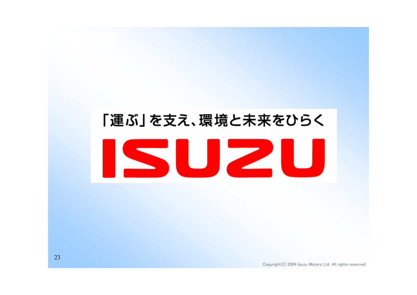# 「運ぶ」を支え、環境と未来をひらく Z 51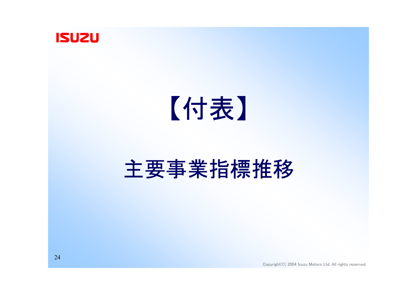

# 【付表】

# 主要事業指標推移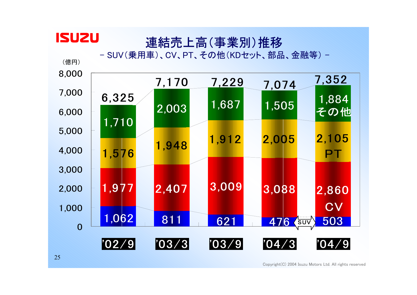### 連結売上高(事業別)推移

- SUV(乗用車)、CV、PT、その他(KDセット、部品、金融等) -

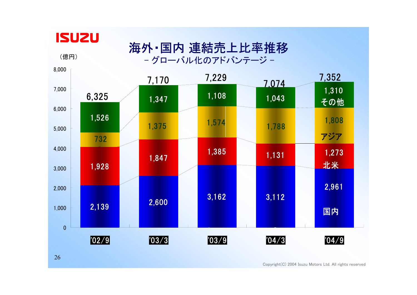

(億円)

#### 海外・国内 連結売上比率推移 - グローバル化のアドバンテージ -

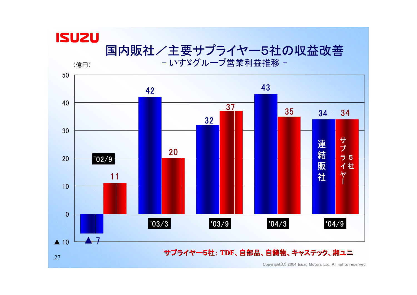(億円)

### 国内販社/主要サプライヤー5社の収益改善

- いすゞグループ営業利益推移 -

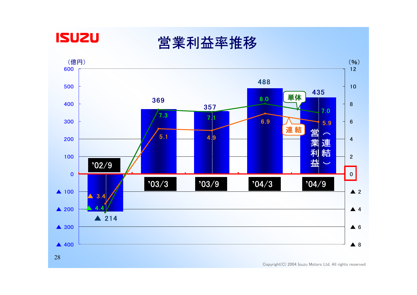

営業利益率推移

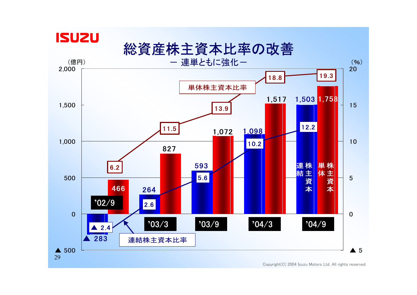

総資産株主資本比率の改善

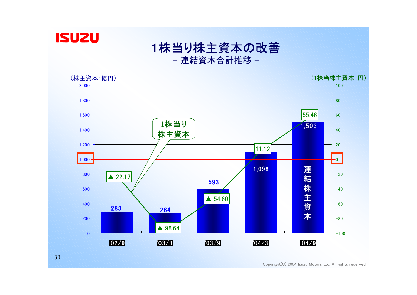

#### 1株当り株主資本の改善 - 連結資本合計推移 -

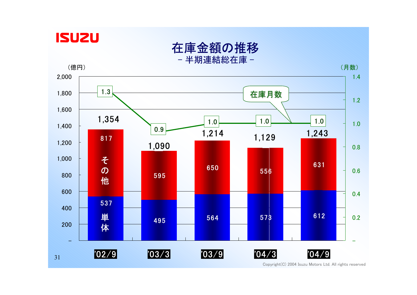

在庫金額の推移 - 半期連結総在庫 -



Copyright(C) 2004 Isuzu Motors Ltd. All rights reserved